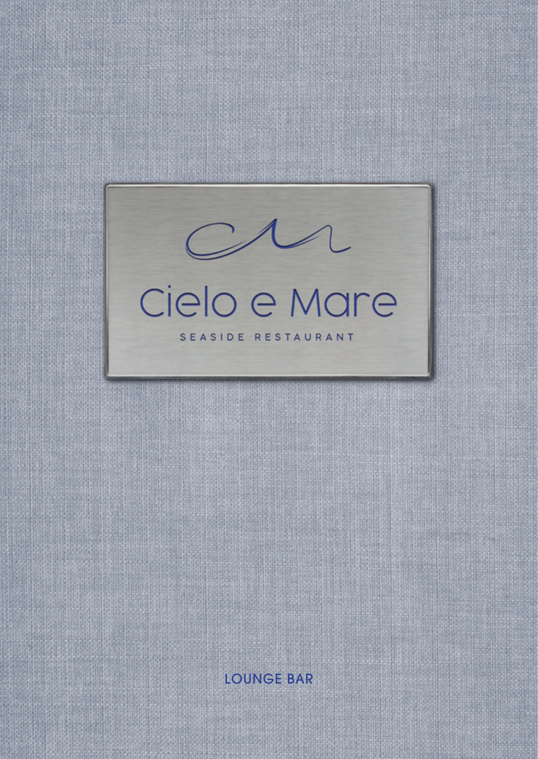

LOUNGE BAR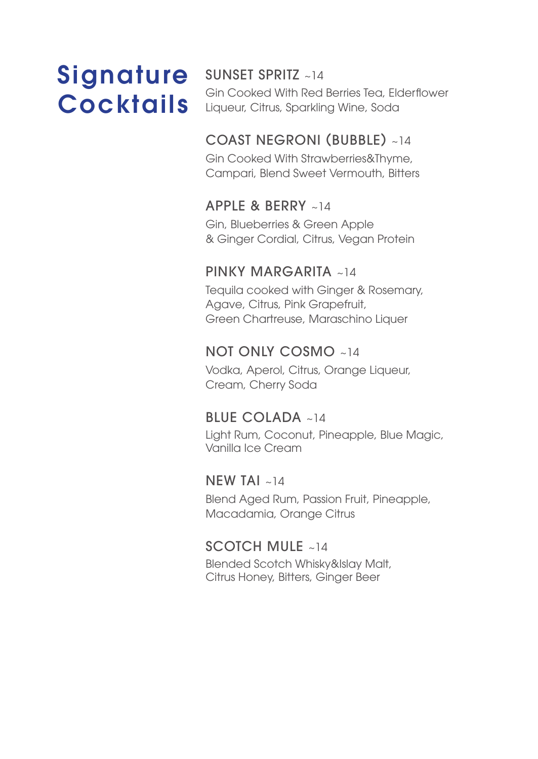# Signature **Cocktails**

#### SUNSET SPRITZ ~14

Gin Cooked With Red Berries Tea, Elderflower Liqueur, Citrus, Sparkling Wine, Soda

#### COAST NEGRONI (BUBBLE) ~14

Gin Cooked With Strawberries&Thyme, Campari, Blend Sweet Vermouth, Bitters

#### APPLE & BERRY ~14

Gin, Blueberries & Green Apple & Ginger Cordial, Citrus, Vegan Protein

#### PINKY MARGARITA ~14

Tequila cooked with Ginger & Rosemary, Agave, Citrus, Pink Grapefruit, Green Chartreuse, Maraschino Liquer

#### NOT ONLY COSMO ~14

Vodka, Aperol, Citrus, Orange Liqueur, Cream, Cherry Soda

#### BLUE COLADA ~14

Light Rum, Coconut, Pineapple, Blue Magic, Vanilla Ice Cream

#### NEW TAI  $~14$

Blend Aged Rum, Passion Fruit, Pineapple, Macadamia, Orange Citrus

#### SCOTCH MULE ~14

Blended Scotch Whisky&Islay Malt, Citrus Honey, Bitters, Ginger Beer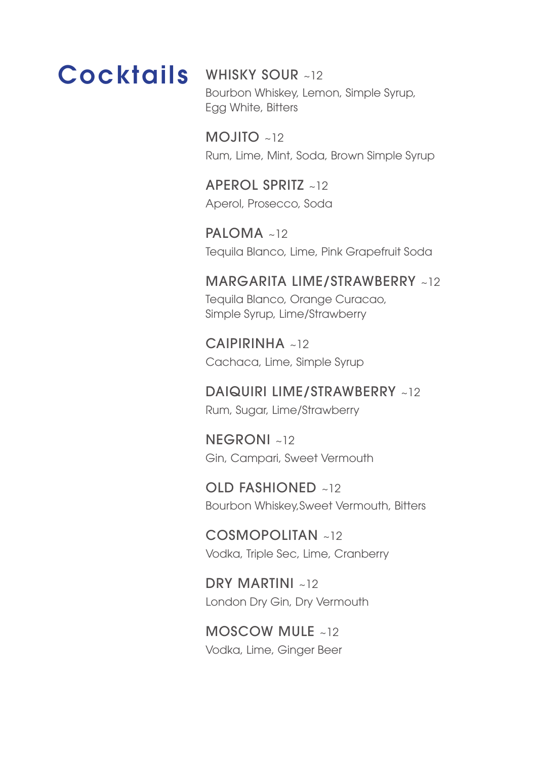## **Cocktails**

#### WHISKY SOUR ~12

Bourbon Whiskey, Lemon, Simple Syrup, Egg White, Bitters

MOJITO ~12 Rum, Lime, Mint, Soda, Brown Simple Syrup

APEROL SPRITZ ~12 Aperol, Prosecco, Soda

PALOMA ~12 Tequila Blanco, Lime, Pink Grapefruit Soda

#### MARGARITA LIME/STRAWBERRY ~12 Tequila Blanco, Orange Curacao,

Simple Syrup, Lime/Strawberry

CAIPIRINHA ~12 Cachaca, Lime, Simple Syrup

DAIQUIRI LIME/STRAWBERRY ~12 Rum, Sugar, Lime/Strawberry

NEGRONI ~12 Gin, Campari, Sweet Vermouth

OLD FASHIONED ~12 Bourbon Whiskey,Sweet Vermouth, Bitters

COSMOPOLITAN ~12 Vodka, Triple Sec, Lime, Cranberry

DRY MARTINI ~12 London Dry Gin, Dry Vermouth

#### MOSCOW MULE ~12 Vodka, Lime, Ginger Beer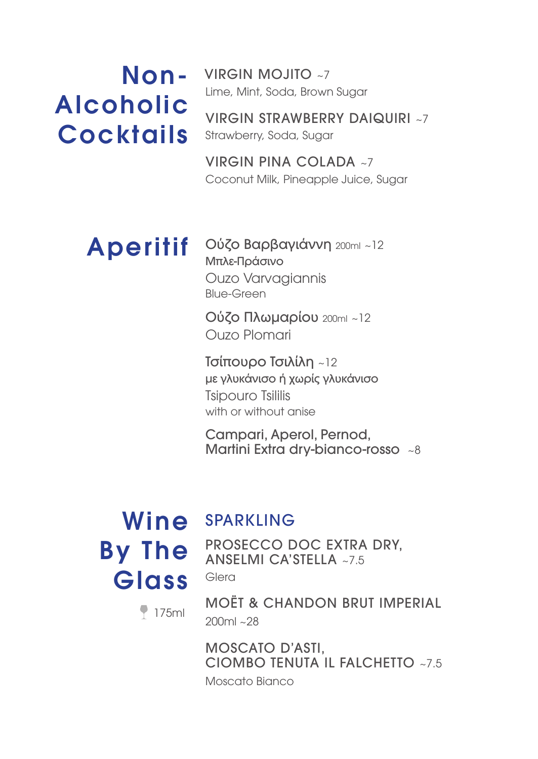# Alcoholic Cocktails

Non- VIRGIN MOJITO ~7 Lime, Mint, Soda, Brown Sugar

> VIRGIN STRAWBERRY DAIQUIRI ~7 Strawberry, Soda, Sugar

VIRGIN PINA COLADA ~7 Coconut Milk, Pineapple Juice, Sugar

## Aperitif

Ούζο Βαρβαγιάννη 200ml ~12 Μπλε-Πράσινο Ouzo Varvagiannis Blue-Green

Ούζο Πλωμαρίου 200ml ~12 Ouzo Plomari

Τσίπουρο Τσιλίλη ~12 με γλυκάνισο ή χωρίς γλυκάνισο Tsipouro Tsililis with or without anise

Campari, Aperol, Pernod, Martini Extra dry-bianco-rosso ~8

## Wine SPARKLING By The Glass

PROSECCO DOC EXTRA DRY, ANSELMI CA'STELLA ~7.5

Glera

MOËT & CHANDON BRUT IMPERIAL 200ml ~28

MOSCATO D'ASTI, CIOMBO TENUTA IL FALCHETTO ~7.5 Moscato Bianco

175ml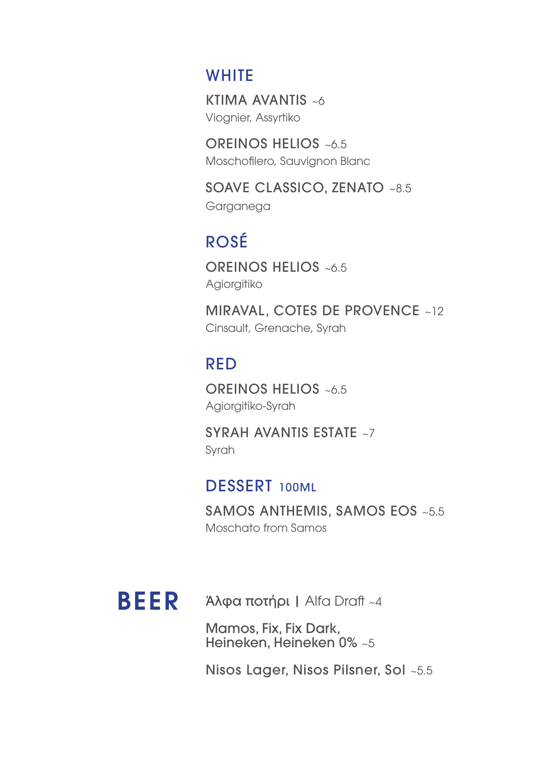#### **WHITE**

KTIMA AVANTIS ~6 Viognier, Assyrtiko

OREINOS HELIOS ~6.5 Moschofilero, Sauvignon Blanc

SOAVE CLASSICO, ZENATO ~8.5 Garganega

## ROSÉ

OREINOS HELIOS ~6.5 Agiorgitiko

MIRAVAL, COTES DE PROVENCE ~12 Cinsault, Grenache, Syrah

### RED

OREINOS HELIOS ~6.5 Agiorgitiko-Syrah

SYRAH AVANTIS ESTATE ~7 Syrah

#### DESSERT 100ML

SAMOS ANTHEMIS, SAMOS EOS ~5.5 Moschato from Samos



**BEER** Αλφα ποτήρι | Alfa Draft ~4

Mamos, Fix, Fix Dark, Heineken, Heineken 0% ~5

Nisos Lager, Nisos Pilsner, Sol ~5.5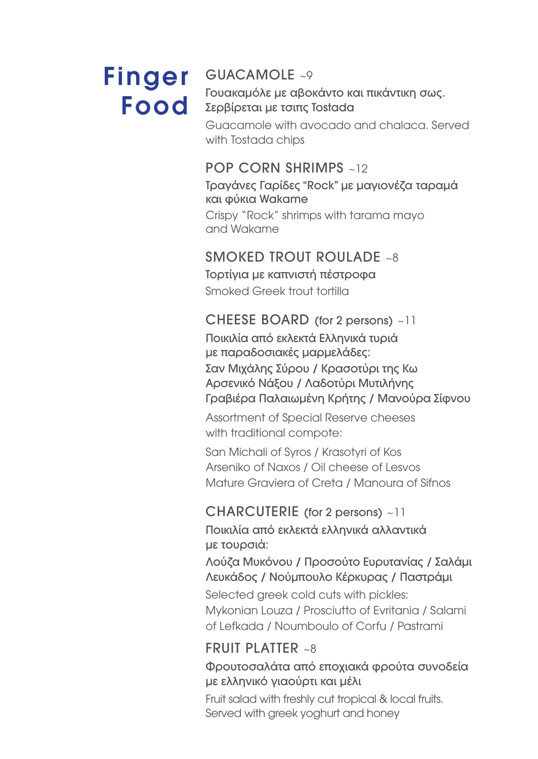# Finger Food

#### GUACAMOLE ~9

Γουακαμόλε με αβοκάντο και πικάντικη σως. Σερβίρεται με τσιπς Tostada

Guacamole with avocado and chalaca. Served with Tostada chips

#### POP CORN SHRIMPS ~12

Τραγάνες Γαρίδες "Rock" με μαγιονέζα ταραμά και φύκια Wakame

Crispy "Rock" shrimps with tarama mayo and Wakame

#### SMOKED TROUT ROULADE ~8

Τορτίγια με καπνιστή πέστροφα Smoked Greek trout tortilla

#### CHEESE BOARD (for 2 persons) ~11

Ποικιλία από εκλεκτά Ελληνικά τυριά με παραδοσιακές μαρμελάδες: Σαν Μιχάλης Σύρου / Κρασοτύρι της Κω Αρσενικό Νάξου / Λαδοτύρι Μυτιλήνης Γραβιέρα Παλαιωμένη Κρήτης / Μανούρα Σίφνου

Assortment of Special Reserve cheeses with traditional compote:

San Michali of Syros / Krasotyri of Kos Arseniko of Naxos / Oil cheese of Lesvos Mature Graviera of Creta / Manoura of Sifnos

## CHARCUTERIE (for 2 persons) ~11

Ποικιλία από εκλεκτά ελληνικά αλλαντικά με τουρσιά:

Λούζα Μυκόνου / Προσούτο Ευρυτανίας / Σαλάμι Λευκάδος / Νούμπουλο Κέρκυρας / Παστράμι

Selected greek cold cuts with pickles: Mykonian Louza / Prosciutto of Evritania / Salami of Lefkada / Noumboulo of Corfu / Pastrami

#### FRUIT PLATTER  $~38$

Φρουτοσαλάτα από εποχιακά φρούτα συνοδεία με ελληνικό γιαούρτι και μέλι

Fruit salad with freshly cut tropical & local fruits. Served with greek yoghurt and honey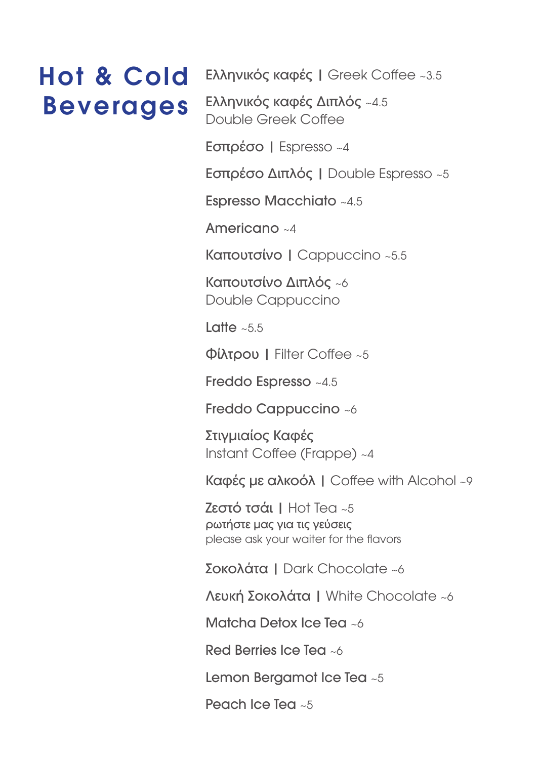## Hot & Cold Beverages

Ελληνικός καφές | Greek Coffee ~3.5

Ελληνικός καφές Διπλός ~4.5 Double Greek Coffee

Εσπρέσο | Espresso ~4

Εσπρέσο Διπλός | Double Espresso ~5

Espresso Macchiato ~4.5

Americano ~4

Καπουτσίνο | Cappuccino ~5.5

Καπουτσίνο Διπλός ~6 Double Cappuccino

Latte  $\approx 5.5$ 

Φίλτρου | Filter Coffee ~5

Freddo Espresso ~4.5

Freddo Cappuccino ~6

Στιγμιαίος Καφές Instant Coffee (Frappe) ~4

Καφές με αλκοόλ | Coffee with Alcohol ~9

Ζεστό τσάι | Hot Tea ~5 ρωτήστε μας για τις γεύσεις please ask your waiter for the flavors

Σοκολάτα | Dark Chocolate ~6

Λευκή Σοκολάτα | White Chocolate ~6

Matcha Detox Ice Tea ~6

Red Berries Ice Tea ~6

Lemon Bergamot Ice Tea ~5

Peach Ice Tea ~5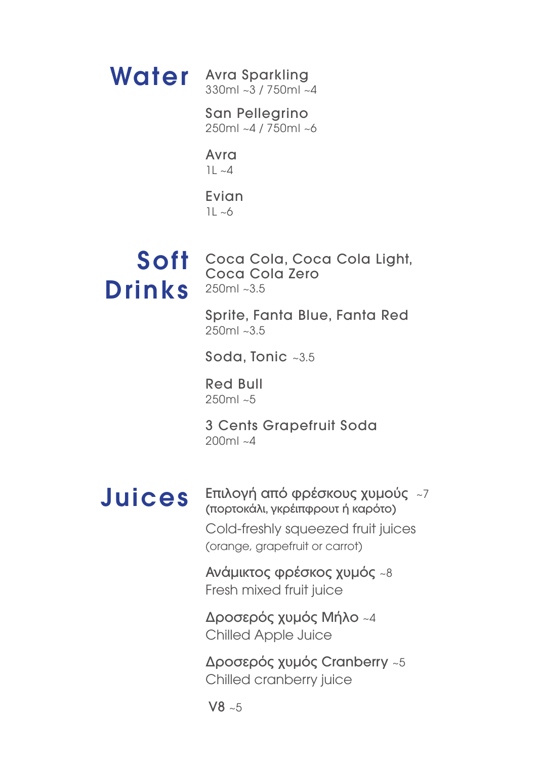Water Avra Sparkling 330ml ~3 / 750ml ~4

> San Pellegrino 250ml ~4 / 750ml ~6

Avra  $1L - 4$ 

Evian  $1L - 6$ 

# Drinks 250ml~3.5

Soft Coca Cola, Coca Cola Light, Coca Cola Zero

> Sprite, Fanta Blue, Fanta Red 250ml ~3.5

Soda, Tonic ~3.5

Red Bull  $250m & -5$ 

3 Cents Grapefruit Soda 200ml ~4

## Juices

Επιλογή από φρέσκους χυμούς ~7 (πορτοκάλι, γκρέιπφρουτ ή καρότο) Cold-freshly squeezed fruit juices (orange, grapefruit or carrot)

Ανάμικτος φρέσκος χυμός ~8 Fresh mixed fruit juice

Δροσερός χυμός Μήλο ~4 Chilled Apple Juice

Δροσερός χυμός Cranberry ~5 Chilled cranberry juice

 $V8 \sim 5$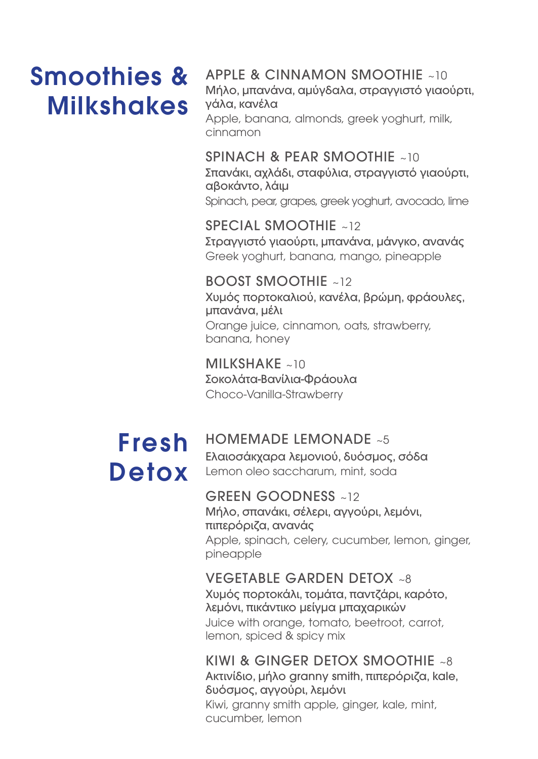## Smoothies & **Milkshakes**

#### APPLE & CINNAMON SMOOTHIE ~10

Μήλο, μπανάνα, αμύγδαλα, στραγγιστό γιαούρτι, γάλα, κανέλα

Apple, banana, almonds, greek yoghurt, milk, cinnamon

#### SPINACH & PEAR SMOOTHIE ~10

Σπανάκι, αχλάδι, σταφύλια, στραγγιστό γιαούρτι, αβοκάντο, λάιμ

Spinach, pear, grapes, greek yoghurt, avocado, lime

#### SPECIAL SMOOTHIE ~12

Στραγγιστό γιαούρτι, μπανάνα, μάνγκο, ανανάς Greek yoghurt, banana, mango, pineapple

#### BOOST SMOOTHIE ~12

Χυμός πορτοκαλιού, κανέλα, βρώμη, φράουλες, μπανάνα, μέλι Orange juice, cinnamon, oats, strawberry, banana, honey

MILKSHAKE ~10 Σοκολάτα-Βανίλια-Φράουλα Choco-Vanilla-Strawberry

## Fresh Detox

#### HOMEMADE LEMONADE ~5

Ελαιοσάκχαρα λεμονιού, δυόσμος, σόδα Lemon oleo saccharum, mint, soda

#### GREEN GOODNESS ~12

Μήλο, σπανάκι, σέλερι, αγγούρι, λεμόνι, πιπερόριζα, ανανάς Apple, spinach, celery, cucumber, lemon, ginger, pineapple

#### VEGETABLE GARDEN DETOX ~8

Χυμός πορτοκάλι, τομάτα, παντζάρι, καρότο, λεμόνι, πικάντικο μείγμα μπαχαρικών Juice with orange, tomato, beetroot, carrot, lemon, spiced & spicy mix

#### KIWI & GINGER DETOX SMOOTHIE ~8 Ακτινίδιο, μήλο granny smith, πιπερόριζα, kale, δυόσμος, αγγούρι, λεμόνι Kiwi, granny smith apple, ginger, kale, mint,

cucumber, lemon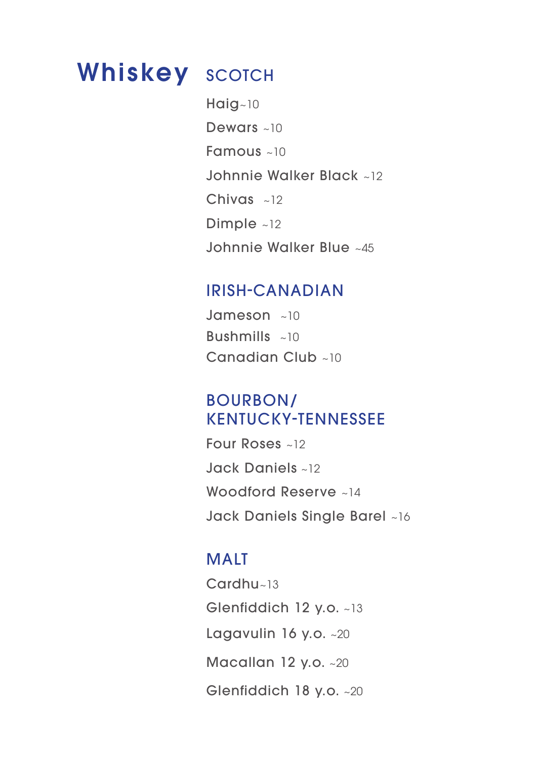## Whiskey SCOTCH **Whiskey**

Haig~10 Dewars ~10 Famous ~10 Johnnie Walker Black ~12 Chivas ~12 Dimple ~12 Johnnie Walker Blue ~45

#### IRISH-CANADIAN

Jameson ~10 Bushmills  $\approx 10$ Canadian Club ~10

#### BOURBON/ KENTUCKY-TENNESSEE

Four Roses ~12 Jack Daniels ~12 Woodford Reserve ~14 Jack Daniels Single Barel ~16

### MALT

Cardhu~13 Glenfiddich 12 y.o. ~13 Lagavulin 16 y.o. ~20 Macallan 12 y.o. ~20 Glenfiddich 18 y.o. ~20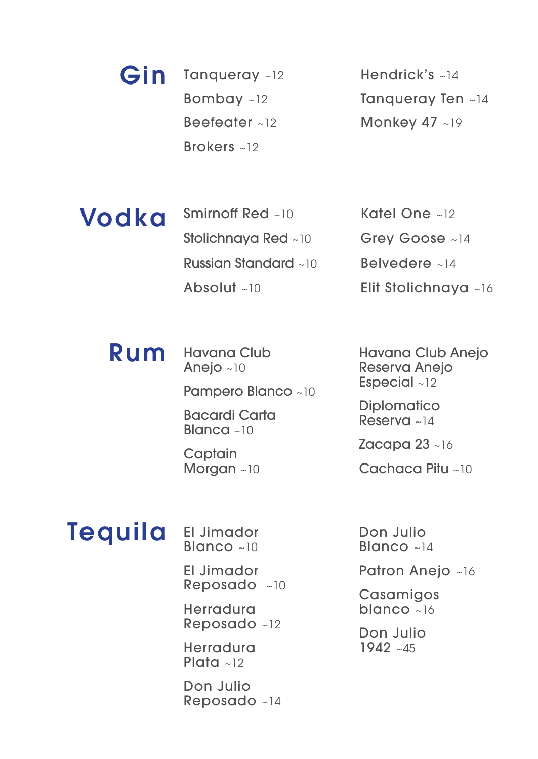Tangueray ~12 Bombay ~12 Beefeater ~12 Brokers ~12 Gin

Hendrick's ~14 Tanqueray Ten ~14 Monkey 47 ~19

Smirnoff Red ~10 Stolichnaya Red ~10 Russian Standard ~10 Absolut ~10 Vodka

Katel One ~12 Grey Goose ~14 Belvedere ~14 Elit Stolichnaya ~16

#### Havana Club Rum

Anejo ~10

Pampero Blanco ~10

Bacardi Carta Blanca  $~10$ 

**Captain** Morgan ~10 Havana Club Anejo Reserva Anejo Especial ~12

**Diplomatico** Reserva ~14

**Zacapa 23 ~16** 

Cachaca Pitu ~10

# **Tequila**

El Jimador Blanco ~10

El Jimador Reposado ~10

Herradura Reposado ~12

Herradura Plata  $~12$ 

Don Julio Reposado ~14 Don Julio Blanco ~14

Patron Anejo ~16

**Casamigos** blanco ~16

Don Julio 1942 ~45